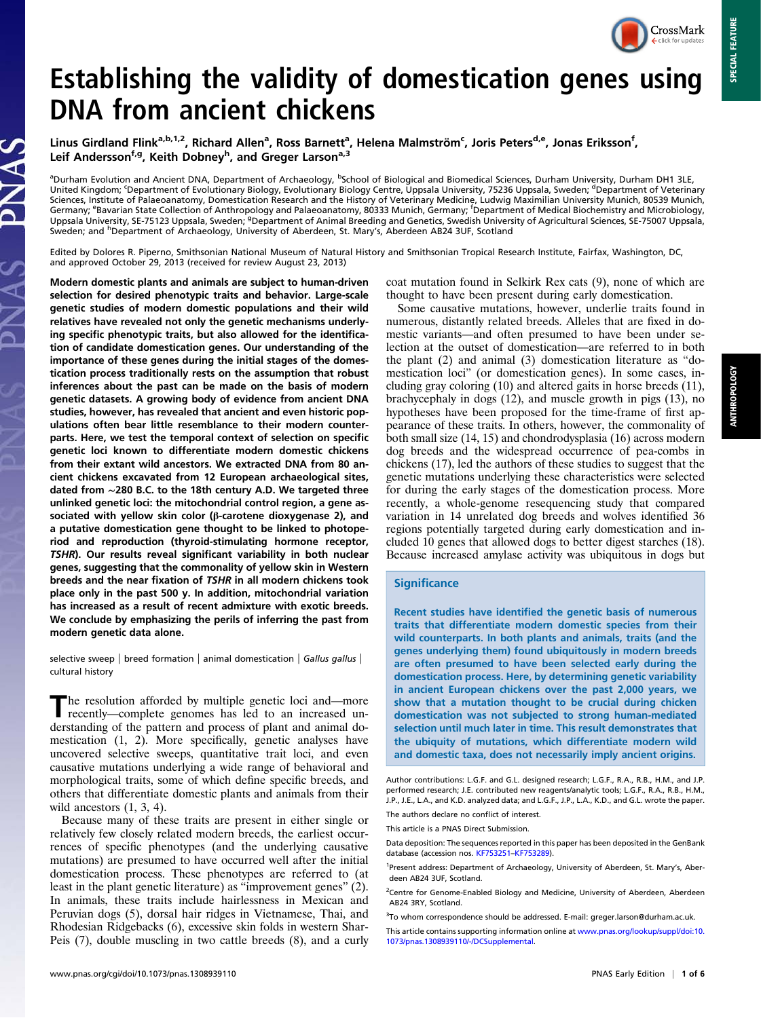# CrossMark

# Establishing the validity of domestication genes using DNA from ancient chickens

Linus Girdland Flink<sup>a,b,1,2</sup>, Richard Allen<sup>a</sup>, Ross Barnett<sup>a</sup>, Helena Malmström<sup>c</sup>, Joris Peters<sup>d,e</sup>, Jonas Eriksson<sup>f</sup>, Leif Andersson<sup>f,g</sup>, Keith Dobney<sup>h</sup>, and Greger Larson<sup>a,3</sup>

<sup>a</sup>Durham Evolution and Ancient DNA, Department of Archaeology, <sup>b</sup>School of Biological and Biomedical Sciences, Durham University, Durham DH1 3LE, United Kingdom; <sup>c</sup>Department of Evolutionary Biology, Evolutionary Biology Centre, Uppsala University, 75236 Uppsala, Sweden; <sup>d</sup>Department of Veterinary Sciences, Institute of Palaeoanatomy, Domestication Research and the History of Veterinary Medicine, Ludwig Maximilian University Munich, 80539 Munich, Germany; <sup>e</sup>Bavarian State Collection of Anthropology and Palaeoanatomy, 80333 Munich, Germany; <sup>f</sup>Department of Medical Biochemistry and Microbiology, Uppsala University, SE-75123 Uppsala, Sweden; <sup>9</sup>Department of Animal Breeding and Genetics, Swedish University of Agricultural Sciences, SE-75007 Uppsala, Sweden; and <sup>h</sup>Department of Archaeology, University of Aberdeen, St. Mary's, Aberdeen AB24 3UF, Scotland

Edited by Dolores R. Piperno, Smithsonian National Museum of Natural History and Smithsonian Tropical Research Institute, Fairfax, Washington, DC, and approved October 29, 2013 (received for review August 23, 2013)

Modern domestic plants and animals are subject to human-driven selection for desired phenotypic traits and behavior. Large-scale genetic studies of modern domestic populations and their wild relatives have revealed not only the genetic mechanisms underlying specific phenotypic traits, but also allowed for the identification of candidate domestication genes. Our understanding of the importance of these genes during the initial stages of the domestication process traditionally rests on the assumption that robust inferences about the past can be made on the basis of modern genetic datasets. A growing body of evidence from ancient DNA studies, however, has revealed that ancient and even historic populations often bear little resemblance to their modern counterparts. Here, we test the temporal context of selection on specific genetic loci known to differentiate modern domestic chickens from their extant wild ancestors. We extracted DNA from 80 ancient chickens excavated from 12 European archaeological sites, dated from ∼280 B.C. to the 18th century A.D. We targeted three unlinked genetic loci: the mitochondrial control region, a gene associated with yellow skin color (β-carotene dioxygenase 2), and a putative domestication gene thought to be linked to photoperiod and reproduction (thyroid-stimulating hormone receptor, TSHR). Our results reveal significant variability in both nuclear genes, suggesting that the commonality of yellow skin in Western breeds and the near fixation of TSHR in all modern chickens took place only in the past 500 y. In addition, mitochondrial variation has increased as a result of recent admixture with exotic breeds. We conclude by emphasizing the perils of inferring the past from modern genetic data alone.

selective sweep | breed formation | animal domestication | Gallus gallus | cultural history

The resolution afforded by multiple genetic loci and—more<br>recently—complete concerns: recently—complete genomes has led to an increased understanding of the pattern and process of plant and animal domestication (1, 2). More specifically, genetic analyses have uncovered selective sweeps, quantitative trait loci, and even causative mutations underlying a wide range of behavioral and morphological traits, some of which define specific breeds, and others that differentiate domestic plants and animals from their wild ancestors  $(1, 3, 4)$ .

Because many of these traits are present in either single or relatively few closely related modern breeds, the earliest occurrences of specific phenotypes (and the underlying causative mutations) are presumed to have occurred well after the initial domestication process. These phenotypes are referred to (at least in the plant genetic literature) as "improvement genes" (2). In animals, these traits include hairlessness in Mexican and Peruvian dogs (5), dorsal hair ridges in Vietnamese, Thai, and Rhodesian Ridgebacks (6), excessive skin folds in western Shar-Peis (7), double muscling in two cattle breeds (8), and a curly

coat mutation found in Selkirk Rex cats (9), none of which are thought to have been present during early domestication.

Some causative mutations, however, underlie traits found in numerous, distantly related breeds. Alleles that are fixed in domestic variants—and often presumed to have been under selection at the outset of domestication—are referred to in both the plant (2) and animal (3) domestication literature as "domestication loci" (or domestication genes). In some cases, including gray coloring (10) and altered gaits in horse breeds (11), brachycephaly in dogs (12), and muscle growth in pigs (13), no hypotheses have been proposed for the time-frame of first appearance of these traits. In others, however, the commonality of both small size (14, 15) and chondrodysplasia (16) across modern dog breeds and the widespread occurrence of pea-combs in chickens (17), led the authors of these studies to suggest that the genetic mutations underlying these characteristics were selected for during the early stages of the domestication process. More recently, a whole-genome resequencing study that compared variation in 14 unrelated dog breeds and wolves identified 36 regions potentially targeted during early domestication and included 10 genes that allowed dogs to better digest starches (18). Because increased amylase activity was ubiquitous in dogs but

#### **Significance**

Recent studies have identified the genetic basis of numerous traits that differentiate modern domestic species from their wild counterparts. In both plants and animals, traits (and the genes underlying them) found ubiquitously in modern breeds are often presumed to have been selected early during the domestication process. Here, by determining genetic variability in ancient European chickens over the past 2,000 years, we show that a mutation thought to be crucial during chicken domestication was not subjected to strong human-mediated selection until much later in time. This result demonstrates that the ubiquity of mutations, which differentiate modern wild and domestic taxa, does not necessarily imply ancient origins.

Author contributions: L.G.F. and G.L. designed research; L.G.F., R.A., R.B., H.M., and J.P. performed research; J.E. contributed new reagents/analytic tools; L.G.F., R.A., R.B., H.M., J.P., J.E., L.A., and K.D. analyzed data; and L.G.F., J.P., L.A., K.D., and G.L. wrote the paper. The authors declare no conflict of interest.

This article is a PNAS Direct Submission.

Data deposition: The sequences reported in this paper has been deposited in the GenBank database (accession nos. [KF753251](http://www.ncbi.nlm.nih.gov/nuccore/KF753251)–[KF753289\)](http://www.ncbi.nlm.nih.gov/nuccore/KF753289).

<sup>3</sup>To whom correspondence should be addressed. E-mail: [greger.larson@durham.ac.uk](mailto:greger.larson@durham.ac.uk).

This article contains supporting information online at [www.pnas.org/lookup/suppl/doi:10.](http://www.pnas.org/lookup/suppl/doi:10.1073/pnas.1308939110/-/DCSupplemental) [1073/pnas.1308939110/-/DCSupplemental](http://www.pnas.org/lookup/suppl/doi:10.1073/pnas.1308939110/-/DCSupplemental).

SPECIAL FEATURE

<sup>&</sup>lt;sup>1</sup>Present address: Department of Archaeology, University of Aberdeen, St. Mary's, Aberdeen AB24 3UF, Scotland.

<sup>&</sup>lt;sup>2</sup>Centre for Genome-Enabled Biology and Medicine, University of Aberdeen, Aberdeen AB24 3RY, Scotland.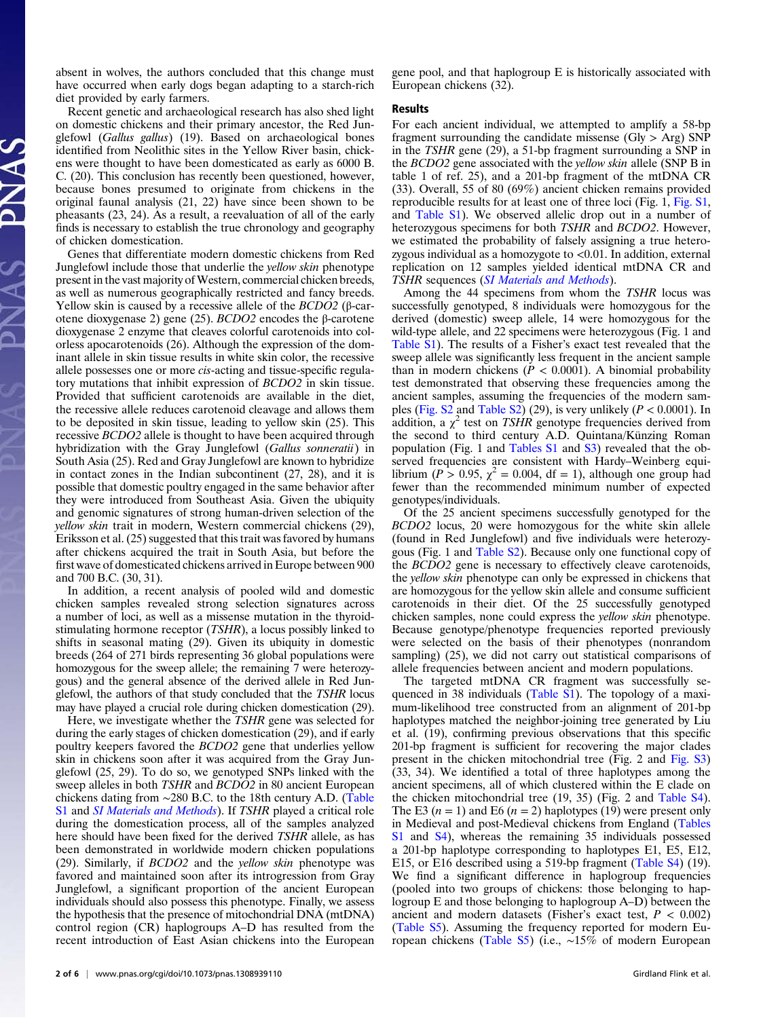absent in wolves, the authors concluded that this change must have occurred when early dogs began adapting to a starch-rich diet provided by early farmers.

Recent genetic and archaeological research has also shed light on domestic chickens and their primary ancestor, the Red Junglefowl (Gallus gallus) (19). Based on archaeological bones identified from Neolithic sites in the Yellow River basin, chickens were thought to have been domesticated as early as 6000 B. C. (20). This conclusion has recently been questioned, however, because bones presumed to originate from chickens in the original faunal analysis (21, 22) have since been shown to be pheasants (23, 24). As a result, a reevaluation of all of the early finds is necessary to establish the true chronology and geography of chicken domestication.

Genes that differentiate modern domestic chickens from Red Junglefowl include those that underlie the yellow skin phenotype present in the vast majority of Western, commercial chicken breeds, as well as numerous geographically restricted and fancy breeds. Yellow skin is caused by a recessive allele of the  $BCDO2$  (β-carotene dioxygenase 2) gene (25).  $BCDO2$  encodes the β-carotene dioxygenase 2 enzyme that cleaves colorful carotenoids into colorless apocarotenoids (26). Although the expression of the dominant allele in skin tissue results in white skin color, the recessive allele possesses one or more cis-acting and tissue-specific regulatory mutations that inhibit expression of BCDO2 in skin tissue. Provided that sufficient carotenoids are available in the diet, the recessive allele reduces carotenoid cleavage and allows them to be deposited in skin tissue, leading to yellow skin (25). This recessive BCDO2 allele is thought to have been acquired through hybridization with the Gray Junglefowl (Gallus sonneratii) in South Asia (25). Red and Gray Junglefowl are known to hybridize in contact zones in the Indian subcontinent (27, 28), and it is possible that domestic poultry engaged in the same behavior after they were introduced from Southeast Asia. Given the ubiquity and genomic signatures of strong human-driven selection of the yellow skin trait in modern, Western commercial chickens (29), Eriksson et al. (25) suggested that this trait was favored by humans after chickens acquired the trait in South Asia, but before the first wave of domesticated chickens arrived in Europe between 900 and 700 B.C. (30, 31).

In addition, a recent analysis of pooled wild and domestic chicken samples revealed strong selection signatures across a number of loci, as well as a missense mutation in the thyroidstimulating hormone receptor (TSHR), a locus possibly linked to shifts in seasonal mating (29). Given its ubiquity in domestic breeds (264 of 271 birds representing 36 global populations were homozygous for the sweep allele; the remaining 7 were heterozygous) and the general absence of the derived allele in Red Junglefowl, the authors of that study concluded that the TSHR locus may have played a crucial role during chicken domestication (29).

Here, we investigate whether the TSHR gene was selected for during the early stages of chicken domestication (29), and if early poultry keepers favored the BCDO2 gene that underlies yellow skin in chickens soon after it was acquired from the Gray Junglefowl (25, 29). To do so, we genotyped SNPs linked with the sweep alleles in both TSHR and BCDO2 in 80 ancient European chickens dating from ∼280 B.C. to the 18th century A.D. [\(Table](http://www.pnas.org/lookup/suppl/doi:10.1073/pnas.1308939110/-/DCSupplemental/pnas.201308939SI.pdf?targetid=nameddest=ST1) [S1](http://www.pnas.org/lookup/suppl/doi:10.1073/pnas.1308939110/-/DCSupplemental/pnas.201308939SI.pdf?targetid=nameddest=ST1) and *[SI Materials and Methods](http://www.pnas.org/lookup/suppl/doi:10.1073/pnas.1308939110/-/DCSupplemental/pnas.201308939SI.pdf?targetid=nameddest=STXT)*). If *TSHR* played a critical role during the domestication process, all of the samples analyzed here should have been fixed for the derived TSHR allele, as has been demonstrated in worldwide modern chicken populations (29). Similarly, if BCDO2 and the yellow skin phenotype was favored and maintained soon after its introgression from Gray Junglefowl, a significant proportion of the ancient European individuals should also possess this phenotype. Finally, we assess the hypothesis that the presence of mitochondrial DNA (mtDNA) control region (CR) haplogroups A–D has resulted from the recent introduction of East Asian chickens into the European

gene pool, and that haplogroup E is historically associated with European chickens (32).

### Results

For each ancient individual, we attempted to amplify a 58-bp fragment surrounding the candidate missense (Gly > Arg) SNP in the TSHR gene (29), a 51-bp fragment surrounding a SNP in the BCDO2 gene associated with the yellow skin allele (SNP B in table 1 of ref. 25), and a 201-bp fragment of the mtDNA CR (33). Overall, 55 of 80 (69%) ancient chicken remains provided reproducible results for at least one of three loci (Fig. 1, [Fig. S1](http://www.pnas.org/lookup/suppl/doi:10.1073/pnas.1308939110/-/DCSupplemental/pnas.201308939SI.pdf?targetid=nameddest=SF1), and [Table S1\)](http://www.pnas.org/lookup/suppl/doi:10.1073/pnas.1308939110/-/DCSupplemental/pnas.201308939SI.pdf?targetid=nameddest=ST1). We observed allelic drop out in a number of heterozygous specimens for both TSHR and BCDO2. However, we estimated the probability of falsely assigning a true heterozygous individual as a homozygote to <0.01. In addition, external replication on 12 samples yielded identical mtDNA CR and TSHR sequences ([SI Materials and Methods](http://www.pnas.org/lookup/suppl/doi:10.1073/pnas.1308939110/-/DCSupplemental/pnas.201308939SI.pdf?targetid=nameddest=STXT)).

Among the 44 specimens from whom the TSHR locus was successfully genotyped, 8 individuals were homozygous for the derived (domestic) sweep allele, 14 were homozygous for the wild-type allele, and 22 specimens were heterozygous (Fig. 1 and [Table S1\)](http://www.pnas.org/lookup/suppl/doi:10.1073/pnas.1308939110/-/DCSupplemental/pnas.201308939SI.pdf?targetid=nameddest=ST1). The results of a Fisher's exact test revealed that the sweep allele was significantly less frequent in the ancient sample than in modern chickens ( $\dot{P}$  < 0.0001). A binomial probability test demonstrated that observing these frequencies among the ancient samples, assuming the frequencies of the modern sam-ples [\(Fig. S2](http://www.pnas.org/lookup/suppl/doi:10.1073/pnas.1308939110/-/DCSupplemental/pnas.201308939SI.pdf?targetid=nameddest=SF2) and [Table S2\)](http://www.pnas.org/lookup/suppl/doi:10.1073/pnas.1308939110/-/DCSupplemental/pnas.201308939SI.pdf?targetid=nameddest=ST2) (29), is very unlikely ( $P < 0.0001$ ). In addition, a  $\chi^2$  test on TSHR genotype frequencies derived from the second to third century A.D. Quintana/Künzing Roman population (Fig. 1 and [Tables S1](http://www.pnas.org/lookup/suppl/doi:10.1073/pnas.1308939110/-/DCSupplemental/pnas.201308939SI.pdf?targetid=nameddest=ST1) and [S3\)](http://www.pnas.org/lookup/suppl/doi:10.1073/pnas.1308939110/-/DCSupplemental/pnas.201308939SI.pdf?targetid=nameddest=ST3) revealed that the observed frequencies are consistent with Hardy–Weinberg equilibrium ( $P > 0.95$ ,  $\chi^2 = 0.004$ , df = 1), although one group had fewer than the recommended minimum number of expected genotypes/individuals.

Of the 25 ancient specimens successfully genotyped for the BCDO2 locus, 20 were homozygous for the white skin allele (found in Red Junglefowl) and five individuals were heterozygous (Fig. 1 and [Table S2\)](http://www.pnas.org/lookup/suppl/doi:10.1073/pnas.1308939110/-/DCSupplemental/pnas.201308939SI.pdf?targetid=nameddest=ST2). Because only one functional copy of the BCDO2 gene is necessary to effectively cleave carotenoids, the yellow skin phenotype can only be expressed in chickens that are homozygous for the yellow skin allele and consume sufficient carotenoids in their diet. Of the 25 successfully genotyped chicken samples, none could express the yellow skin phenotype. Because genotype/phenotype frequencies reported previously were selected on the basis of their phenotypes (nonrandom sampling) (25), we did not carry out statistical comparisons of allele frequencies between ancient and modern populations.

The targeted mtDNA CR fragment was successfully sequenced in 38 individuals ([Table S1](http://www.pnas.org/lookup/suppl/doi:10.1073/pnas.1308939110/-/DCSupplemental/pnas.201308939SI.pdf?targetid=nameddest=ST1)). The topology of a maximum-likelihood tree constructed from an alignment of 201-bp haplotypes matched the neighbor-joining tree generated by Liu et al. (19), confirming previous observations that this specific 201-bp fragment is sufficient for recovering the major clades present in the chicken mitochondrial tree (Fig. 2 and [Fig. S3](http://www.pnas.org/lookup/suppl/doi:10.1073/pnas.1308939110/-/DCSupplemental/pnas.201308939SI.pdf?targetid=nameddest=SF3)) (33, 34). We identified a total of three haplotypes among the ancient specimens, all of which clustered within the E clade on the chicken mitochondrial tree (19, 35) (Fig. 2 and [Table S4\)](http://www.pnas.org/lookup/suppl/doi:10.1073/pnas.1308939110/-/DCSupplemental/pnas.201308939SI.pdf?targetid=nameddest=ST4). The E3  $(n = 1)$  and E6  $(n = 2)$  haplotypes (19) were present only in Medieval and post-Medieval chickens from England [\(Tables](http://www.pnas.org/lookup/suppl/doi:10.1073/pnas.1308939110/-/DCSupplemental/pnas.201308939SI.pdf?targetid=nameddest=ST1) [S1](http://www.pnas.org/lookup/suppl/doi:10.1073/pnas.1308939110/-/DCSupplemental/pnas.201308939SI.pdf?targetid=nameddest=ST1) and [S4\)](http://www.pnas.org/lookup/suppl/doi:10.1073/pnas.1308939110/-/DCSupplemental/pnas.201308939SI.pdf?targetid=nameddest=ST4), whereas the remaining 35 individuals possessed a 201-bp haplotype corresponding to haplotypes E1, E5, E12, E15, or E16 described using a 519-bp fragment [\(Table S4](http://www.pnas.org/lookup/suppl/doi:10.1073/pnas.1308939110/-/DCSupplemental/pnas.201308939SI.pdf?targetid=nameddest=ST4)) (19). We find a significant difference in haplogroup frequencies (pooled into two groups of chickens: those belonging to haplogroup E and those belonging to haplogroup A–D) between the ancient and modern datasets (Fisher's exact test,  $P < 0.002$ ) ([Table S5\)](http://www.pnas.org/lookup/suppl/doi:10.1073/pnas.1308939110/-/DCSupplemental/pnas.201308939SI.pdf?targetid=nameddest=ST5). Assuming the frequency reported for modern European chickens ([Table S5](http://www.pnas.org/lookup/suppl/doi:10.1073/pnas.1308939110/-/DCSupplemental/pnas.201308939SI.pdf?targetid=nameddest=ST5)) (i.e., ∼15% of modern European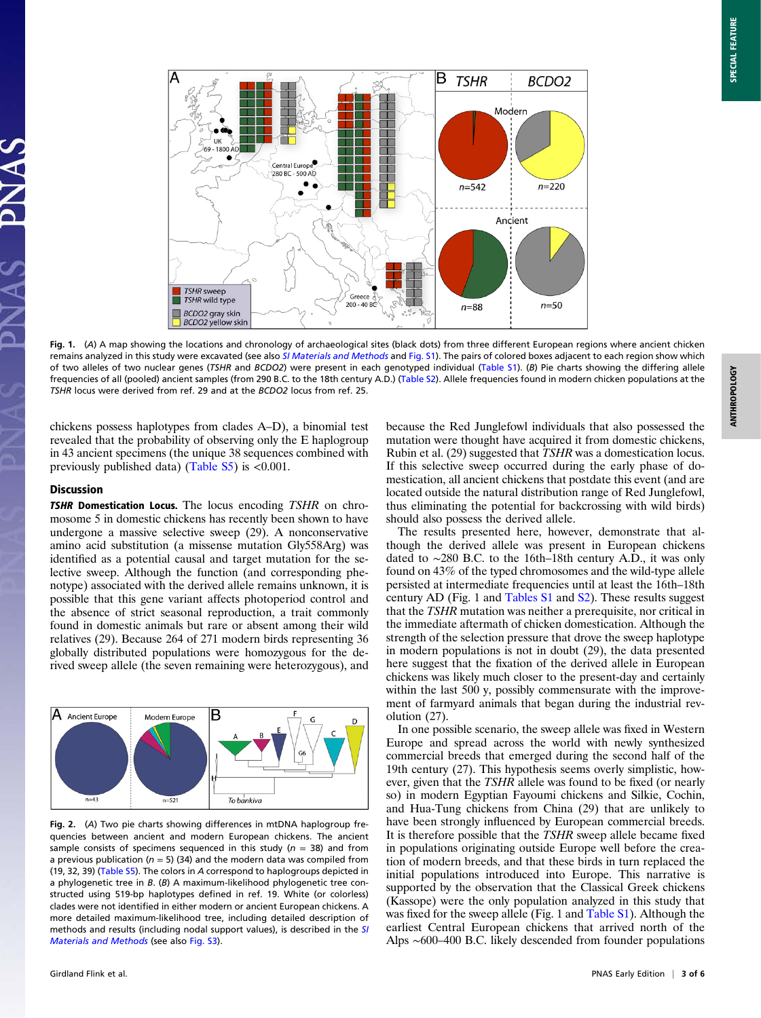

Fig. 1. (A) A map showing the locations and chronology of archaeological sites (black dots) from three different European regions where ancient chicken remains analyzed in this study were excavated (see also [SI Materials and Methods](http://www.pnas.org/lookup/suppl/doi:10.1073/pnas.1308939110/-/DCSupplemental/pnas.201308939SI.pdf?targetid=nameddest=STXT) and [Fig. S1\)](http://www.pnas.org/lookup/suppl/doi:10.1073/pnas.1308939110/-/DCSupplemental/pnas.201308939SI.pdf?targetid=nameddest=SF1). The pairs of colored boxes adjacent to each region show which of two alleles of two nuclear genes (TSHR and BCDO2) were present in each genotyped individual [\(Table S1\)](http://www.pnas.org/lookup/suppl/doi:10.1073/pnas.1308939110/-/DCSupplemental/pnas.201308939SI.pdf?targetid=nameddest=ST1). (B) Pie charts showing the differing allele frequencies of all (pooled) ancient samples (from 290 B.C. to the 18th century A.D.) [\(Table S2](http://www.pnas.org/lookup/suppl/doi:10.1073/pnas.1308939110/-/DCSupplemental/pnas.201308939SI.pdf?targetid=nameddest=ST2)). Allele frequencies found in modern chicken populations at the TSHR locus were derived from ref. 29 and at the BCDO2 locus from ref. 25.

chickens possess haplotypes from clades A–D), a binomial test revealed that the probability of observing only the E haplogroup in 43 ancient specimens (the unique 38 sequences combined with previously published data) (Table  $\overline{S5}$ ) is <0.001.

### Discussion

**TSHR Domestication Locus.** The locus encoding TSHR on chromosome 5 in domestic chickens has recently been shown to have undergone a massive selective sweep (29). A nonconservative amino acid substitution (a missense mutation Gly558Arg) was identified as a potential causal and target mutation for the selective sweep. Although the function (and corresponding phenotype) associated with the derived allele remains unknown, it is possible that this gene variant affects photoperiod control and the absence of strict seasonal reproduction, a trait commonly found in domestic animals but rare or absent among their wild relatives (29). Because 264 of 271 modern birds representing 36 globally distributed populations were homozygous for the derived sweep allele (the seven remaining were heterozygous), and



Fig. 2. (A) Two pie charts showing differences in mtDNA haplogroup frequencies between ancient and modern European chickens. The ancient sample consists of specimens sequenced in this study ( $n = 38$ ) and from a previous publication ( $n = 5$ ) (34) and the modern data was compiled from (19, 32, 39) [\(Table S5](http://www.pnas.org/lookup/suppl/doi:10.1073/pnas.1308939110/-/DCSupplemental/pnas.201308939SI.pdf?targetid=nameddest=ST5)). The colors in A correspond to haplogroups depicted in a phylogenetic tree in B,  $(B)$  A maximum-likelihood phylogenetic tree constructed using 519-bp haplotypes defined in ref. 19. White (or colorless) clades were not identified in either modern or ancient European chickens. A more detailed maximum-likelihood tree, including detailed description of methods and results (including nodal support values), is described in the [SI](http://www.pnas.org/lookup/suppl/doi:10.1073/pnas.1308939110/-/DCSupplemental/pnas.201308939SI.pdf?targetid=nameddest=STXT) [Materials and Methods](http://www.pnas.org/lookup/suppl/doi:10.1073/pnas.1308939110/-/DCSupplemental/pnas.201308939SI.pdf?targetid=nameddest=STXT) (see also [Fig. S3](http://www.pnas.org/lookup/suppl/doi:10.1073/pnas.1308939110/-/DCSupplemental/pnas.201308939SI.pdf?targetid=nameddest=SF3)).

because the Red Junglefowl individuals that also possessed the mutation were thought have acquired it from domestic chickens, Rubin et al. (29) suggested that TSHR was a domestication locus. If this selective sweep occurred during the early phase of domestication, all ancient chickens that postdate this event (and are located outside the natural distribution range of Red Junglefowl, thus eliminating the potential for backcrossing with wild birds) should also possess the derived allele.

The results presented here, however, demonstrate that although the derived allele was present in European chickens dated to ∼280 B.C. to the 16th–18th century A.D., it was only found on 43% of the typed chromosomes and the wild-type allele persisted at intermediate frequencies until at least the 16th–18th century AD (Fig. 1 and [Tables S1](http://www.pnas.org/lookup/suppl/doi:10.1073/pnas.1308939110/-/DCSupplemental/pnas.201308939SI.pdf?targetid=nameddest=ST1) and [S2\)](http://www.pnas.org/lookup/suppl/doi:10.1073/pnas.1308939110/-/DCSupplemental/pnas.201308939SI.pdf?targetid=nameddest=ST2). These results suggest that the TSHR mutation was neither a prerequisite, nor critical in the immediate aftermath of chicken domestication. Although the strength of the selection pressure that drove the sweep haplotype in modern populations is not in doubt (29), the data presented here suggest that the fixation of the derived allele in European chickens was likely much closer to the present-day and certainly within the last 500 y, possibly commensurate with the improvement of farmyard animals that began during the industrial revolution (27).

In one possible scenario, the sweep allele was fixed in Western Europe and spread across the world with newly synthesized commercial breeds that emerged during the second half of the 19th century (27). This hypothesis seems overly simplistic, however, given that the TSHR allele was found to be fixed (or nearly so) in modern Egyptian Fayoumi chickens and Silkie, Cochin, and Hua-Tung chickens from China (29) that are unlikely to have been strongly influenced by European commercial breeds. It is therefore possible that the TSHR sweep allele became fixed in populations originating outside Europe well before the creation of modern breeds, and that these birds in turn replaced the initial populations introduced into Europe. This narrative is supported by the observation that the Classical Greek chickens (Kassope) were the only population analyzed in this study that was fixed for the sweep allele (Fig. 1 and [Table S1](http://www.pnas.org/lookup/suppl/doi:10.1073/pnas.1308939110/-/DCSupplemental/pnas.201308939SI.pdf?targetid=nameddest=ST1)). Although the earliest Central European chickens that arrived north of the Alps ∼600–400 B.C. likely descended from founder populations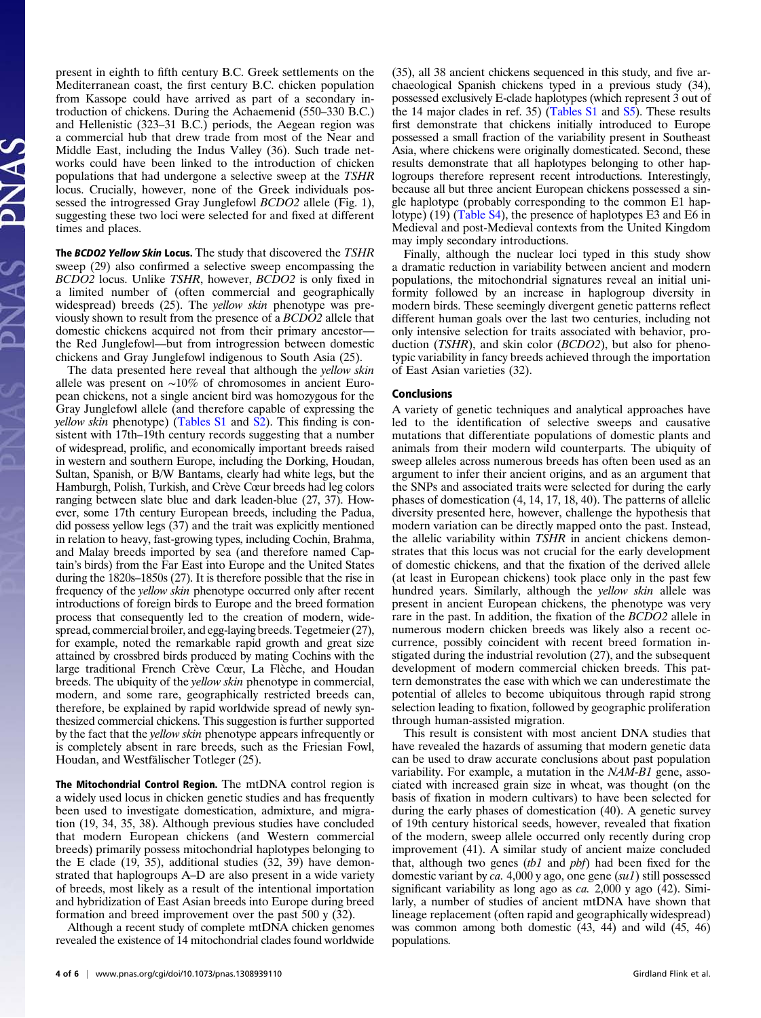present in eighth to fifth century B.C. Greek settlements on the Mediterranean coast, the first century B.C. chicken population from Kassope could have arrived as part of a secondary introduction of chickens. During the Achaemenid (550–330 B.C.) and Hellenistic (323–31 B.C.) periods, the Aegean region was a commercial hub that drew trade from most of the Near and Middle East, including the Indus Valley (36). Such trade networks could have been linked to the introduction of chicken populations that had undergone a selective sweep at the TSHR locus. Crucially, however, none of the Greek individuals possessed the introgressed Gray Junglefowl BCDO2 allele (Fig. 1), suggesting these two loci were selected for and fixed at different times and places.

The BCDO2 Yellow Skin Locus. The study that discovered the TSHR sweep (29) also confirmed a selective sweep encompassing the BCDO2 locus. Unlike TSHR, however, BCDO2 is only fixed in a limited number of (often commercial and geographically widespread) breeds (25). The yellow skin phenotype was previously shown to result from the presence of a BCDO2 allele that domestic chickens acquired not from their primary ancestor the Red Junglefowl—but from introgression between domestic chickens and Gray Junglefowl indigenous to South Asia (25).

The data presented here reveal that although the *yellow skin* allele was present on ∼10% of chromosomes in ancient European chickens, not a single ancient bird was homozygous for the Gray Junglefowl allele (and therefore capable of expressing the yellow skin phenotype) ([Tables S1](http://www.pnas.org/lookup/suppl/doi:10.1073/pnas.1308939110/-/DCSupplemental/pnas.201308939SI.pdf?targetid=nameddest=ST1) and [S2](http://www.pnas.org/lookup/suppl/doi:10.1073/pnas.1308939110/-/DCSupplemental/pnas.201308939SI.pdf?targetid=nameddest=ST2)). This finding is consistent with 17th–19th century records suggesting that a number of widespread, prolific, and economically important breeds raised in western and southern Europe, including the Dorking, Houdan, Sultan, Spanish, or B/W Bantams, clearly had white legs, but the Hamburgh, Polish, Turkish, and Crève Cœur breeds had leg colors ranging between slate blue and dark leaden-blue (27, 37). However, some 17th century European breeds, including the Padua, did possess yellow legs (37) and the trait was explicitly mentioned in relation to heavy, fast-growing types, including Cochin, Brahma, and Malay breeds imported by sea (and therefore named Captain's birds) from the Far East into Europe and the United States during the 1820s–1850s (27). It is therefore possible that the rise in frequency of the yellow skin phenotype occurred only after recent introductions of foreign birds to Europe and the breed formation process that consequently led to the creation of modern, widespread, commercial broiler, and egg-laying breeds. Tegetmeier (27), for example, noted the remarkable rapid growth and great size attained by crossbred birds produced by mating Cochins with the large traditional French Crève Cœur, La Flèche, and Houdan breeds. The ubiquity of the yellow skin phenotype in commercial, modern, and some rare, geographically restricted breeds can, therefore, be explained by rapid worldwide spread of newly synthesized commercial chickens. This suggestion is further supported by the fact that the *yellow skin* phenotype appears infrequently or is completely absent in rare breeds, such as the Friesian Fowl, Houdan, and Westfälischer Totleger (25).

The Mitochondrial Control Region. The mtDNA control region is a widely used locus in chicken genetic studies and has frequently been used to investigate domestication, admixture, and migration (19, 34, 35, 38). Although previous studies have concluded that modern European chickens (and Western commercial breeds) primarily possess mitochondrial haplotypes belonging to the E clade (19, 35), additional studies (32, 39) have demonstrated that haplogroups A–D are also present in a wide variety of breeds, most likely as a result of the intentional importation and hybridization of East Asian breeds into Europe during breed formation and breed improvement over the past 500 y (32).

Although a recent study of complete mtDNA chicken genomes revealed the existence of 14 mitochondrial clades found worldwide

(35), all 38 ancient chickens sequenced in this study, and five archaeological Spanish chickens typed in a previous study (34), possessed exclusively E-clade haplotypes (which represent 3 out of the 14 major clades in ref. 35) ([Tables S1](http://www.pnas.org/lookup/suppl/doi:10.1073/pnas.1308939110/-/DCSupplemental/pnas.201308939SI.pdf?targetid=nameddest=ST1) and [S5\)](http://www.pnas.org/lookup/suppl/doi:10.1073/pnas.1308939110/-/DCSupplemental/pnas.201308939SI.pdf?targetid=nameddest=ST5). These results first demonstrate that chickens initially introduced to Europe possessed a small fraction of the variability present in Southeast Asia, where chickens were originally domesticated. Second, these results demonstrate that all haplotypes belonging to other haplogroups therefore represent recent introductions. Interestingly, because all but three ancient European chickens possessed a single haplotype (probably corresponding to the common E1 hap-lotype) (19) ([Table S4](http://www.pnas.org/lookup/suppl/doi:10.1073/pnas.1308939110/-/DCSupplemental/pnas.201308939SI.pdf?targetid=nameddest=ST4)), the presence of haplotypes E3 and E6 in Medieval and post-Medieval contexts from the United Kingdom may imply secondary introductions.

Finally, although the nuclear loci typed in this study show a dramatic reduction in variability between ancient and modern populations, the mitochondrial signatures reveal an initial uniformity followed by an increase in haplogroup diversity in modern birds. These seemingly divergent genetic patterns reflect different human goals over the last two centuries, including not only intensive selection for traits associated with behavior, production *(TSHR)*, and skin color *(BCDO2)*, but also for phenotypic variability in fancy breeds achieved through the importation of East Asian varieties (32).

## Conclusions

A variety of genetic techniques and analytical approaches have led to the identification of selective sweeps and causative mutations that differentiate populations of domestic plants and animals from their modern wild counterparts. The ubiquity of sweep alleles across numerous breeds has often been used as an argument to infer their ancient origins, and as an argument that the SNPs and associated traits were selected for during the early phases of domestication (4, 14, 17, 18, 40). The patterns of allelic diversity presented here, however, challenge the hypothesis that modern variation can be directly mapped onto the past. Instead, the allelic variability within TSHR in ancient chickens demonstrates that this locus was not crucial for the early development of domestic chickens, and that the fixation of the derived allele (at least in European chickens) took place only in the past few hundred years. Similarly, although the yellow skin allele was present in ancient European chickens, the phenotype was very rare in the past. In addition, the fixation of the BCDO2 allele in numerous modern chicken breeds was likely also a recent occurrence, possibly coincident with recent breed formation instigated during the industrial revolution (27), and the subsequent development of modern commercial chicken breeds. This pattern demonstrates the ease with which we can underestimate the potential of alleles to become ubiquitous through rapid strong selection leading to fixation, followed by geographic proliferation through human-assisted migration.

This result is consistent with most ancient DNA studies that have revealed the hazards of assuming that modern genetic data can be used to draw accurate conclusions about past population variability. For example, a mutation in the NAM-B1 gene, associated with increased grain size in wheat, was thought (on the basis of fixation in modern cultivars) to have been selected for during the early phases of domestication (40). A genetic survey of 19th century historical seeds, however, revealed that fixation of the modern, sweep allele occurred only recently during crop improvement (41). A similar study of ancient maize concluded that, although two genes (tb1 and pbf) had been fixed for the domestic variant by ca. 4,000 y ago, one gene  $(su1)$  still possessed significant variability as long ago as *ca*. 2,000 y ago (42). Similarly, a number of studies of ancient mtDNA have shown that lineage replacement (often rapid and geographically widespread) was common among both domestic  $(43, 44)$  and wild  $(45, 46)$ populations.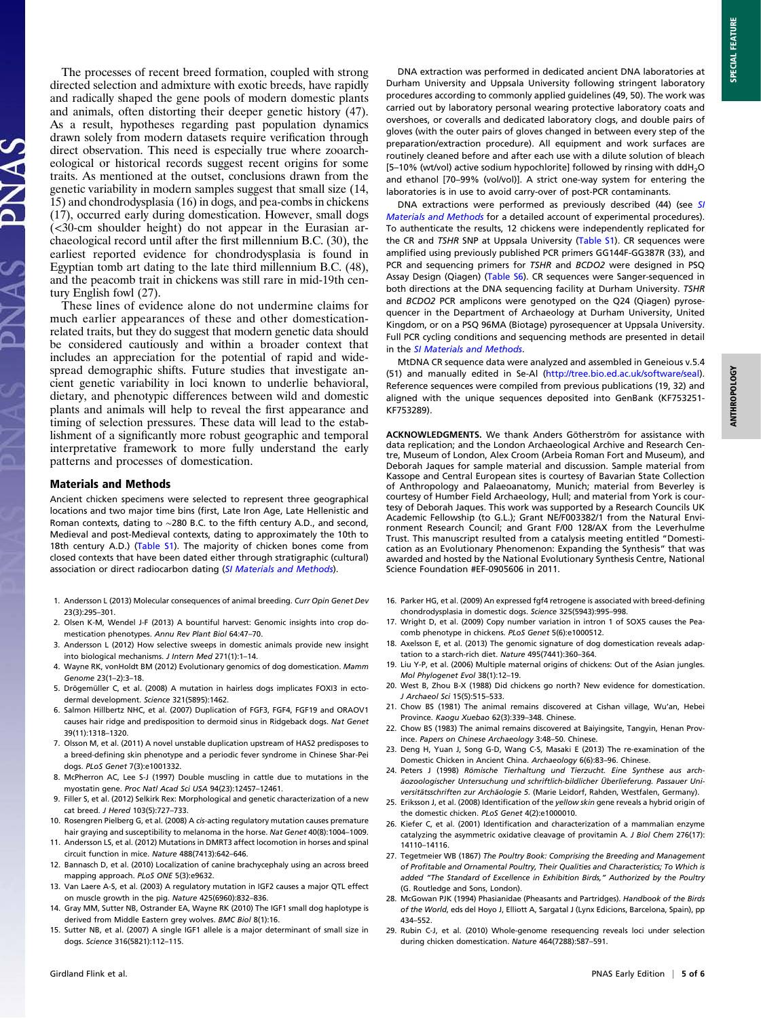The processes of recent breed formation, coupled with strong directed selection and admixture with exotic breeds, have rapidly and radically shaped the gene pools of modern domestic plants and animals, often distorting their deeper genetic history (47). As a result, hypotheses regarding past population dynamics drawn solely from modern datasets require verification through direct observation. This need is especially true where zooarcheological or historical records suggest recent origins for some traits. As mentioned at the outset, conclusions drawn from the genetic variability in modern samples suggest that small size (14, 15) and chondrodysplasia (16) in dogs, and pea-combs in chickens (17), occurred early during domestication. However, small dogs (<30-cm shoulder height) do not appear in the Eurasian archaeological record until after the first millennium B.C. (30), the earliest reported evidence for chondrodysplasia is found in Egyptian tomb art dating to the late third millennium B.C. (48), and the peacomb trait in chickens was still rare in mid-19th century English fowl (27).

These lines of evidence alone do not undermine claims for much earlier appearances of these and other domesticationrelated traits, but they do suggest that modern genetic data should be considered cautiously and within a broader context that includes an appreciation for the potential of rapid and widespread demographic shifts. Future studies that investigate ancient genetic variability in loci known to underlie behavioral, dietary, and phenotypic differences between wild and domestic plants and animals will help to reveal the first appearance and timing of selection pressures. These data will lead to the establishment of a significantly more robust geographic and temporal interpretative framework to more fully understand the early patterns and processes of domestication.

#### Materials and Methods

Ancient chicken specimens were selected to represent three geographical locations and two major time bins (first, Late Iron Age, Late Hellenistic and Roman contexts, dating to ∼280 B.C. to the fifth century A.D., and second, Medieval and post-Medieval contexts, dating to approximately the 10th to 18th century A.D.) ([Table S1\)](http://www.pnas.org/lookup/suppl/doi:10.1073/pnas.1308939110/-/DCSupplemental/pnas.201308939SI.pdf?targetid=nameddest=ST1). The majority of chicken bones come from closed contexts that have been dated either through stratigraphic (cultural) association or direct radiocarbon dating ([SI Materials and Methods](http://www.pnas.org/lookup/suppl/doi:10.1073/pnas.1308939110/-/DCSupplemental/pnas.201308939SI.pdf?targetid=nameddest=STXT)).

- 1. Andersson L (2013) Molecular consequences of animal breeding. Curr Opin Genet Dev 23(3):295–301.
- 2. Olsen K-M, Wendel J-F (2013) A bountiful harvest: Genomic insights into crop domestication phenotypes. Annu Rev Plant Biol 64:47–70.
- 3. Andersson L (2012) How selective sweeps in domestic animals provide new insight into biological mechanisms. J Intern Med 271(1):1–14.
- 4. Wayne RK, vonHoldt BM (2012) Evolutionary genomics of dog domestication. Mamm Genome 23(1–2):3–18.
- 5. Drögemüller C, et al. (2008) A mutation in hairless dogs implicates FOXI3 in ectodermal development. Science 321(5895):1462.
- 6. Salmon Hillbertz NHC, et al. (2007) Duplication of FGF3, FGF4, FGF19 and ORAOV1 causes hair ridge and predisposition to dermoid sinus in Ridgeback dogs. Nat Genet 39(11):1318–1320.
- 7. Olsson M, et al. (2011) A novel unstable duplication upstream of HAS2 predisposes to a breed-defining skin phenotype and a periodic fever syndrome in Chinese Shar-Pei dogs. PLoS Genet 7(3):e1001332.
- 8. McPherron AC, Lee S-J (1997) Double muscling in cattle due to mutations in the myostatin gene. Proc Natl Acad Sci USA 94(23):12457–12461.
- 9. Filler S, et al. (2012) Selkirk Rex: Morphological and genetic characterization of a new cat breed. J Hered 103(5):727–733.
- 10. Rosengren Pielberg G, et al. (2008) A cis-acting regulatory mutation causes premature hair graying and susceptibility to melanoma in the horse. Nat Genet 40(8):1004–1009.
- 11. Andersson LS, et al. (2012) Mutations in DMRT3 affect locomotion in horses and spinal circuit function in mice. Nature 488(7413):642–646.
- 12. Bannasch D, et al. (2010) Localization of canine brachycephaly using an across breed mapping approach. PLoS ONE 5(3):e9632.
- 13. Van Laere A-S, et al. (2003) A regulatory mutation in IGF2 causes a major QTL effect on muscle growth in the pig. Nature 425(6960):832–836.
- 14. Gray MM, Sutter NB, Ostrander EA, Wayne RK (2010) The IGF1 small dog haplotype is derived from Middle Eastern grey wolves. BMC Biol 8(1):16.
- 15. Sutter NB, et al. (2007) A single IGF1 allele is a major determinant of small size in dogs. Science 316(5821):112–115.

DNA extraction was performed in dedicated ancient DNA laboratories at Durham University and Uppsala University following stringent laboratory procedures according to commonly applied guidelines (49, 50). The work was carried out by laboratory personal wearing protective laboratory coats and overshoes, or coveralls and dedicated laboratory clogs, and double pairs of gloves (with the outer pairs of gloves changed in between every step of the preparation/extraction procedure). All equipment and work surfaces are routinely cleaned before and after each use with a dilute solution of bleach [5–10% (wt/vol) active sodium hypochlorite] followed by rinsing with ddH2O and ethanol [70–99% (vol/vol)]. A strict one-way system for entering the laboratories is in use to avoid carry-over of post-PCR contaminants.

DNA extractions were performed as previously described (44) (see [SI](http://www.pnas.org/lookup/suppl/doi:10.1073/pnas.1308939110/-/DCSupplemental/pnas.201308939SI.pdf?targetid=nameddest=STXT) [Materials and Methods](http://www.pnas.org/lookup/suppl/doi:10.1073/pnas.1308939110/-/DCSupplemental/pnas.201308939SI.pdf?targetid=nameddest=STXT) for a detailed account of experimental procedures). To authenticate the results, 12 chickens were independently replicated for the CR and TSHR SNP at Uppsala University ([Table S1\)](http://www.pnas.org/lookup/suppl/doi:10.1073/pnas.1308939110/-/DCSupplemental/pnas.201308939SI.pdf?targetid=nameddest=ST1). CR sequences were amplified using previously published PCR primers GG144F-GG387R (33), and PCR and sequencing primers for TSHR and BCDO2 were designed in PSQ Assay Design (Qiagen) ([Table S6](http://www.pnas.org/lookup/suppl/doi:10.1073/pnas.1308939110/-/DCSupplemental/pnas.201308939SI.pdf?targetid=nameddest=ST6)). CR sequences were Sanger-sequenced in both directions at the DNA sequencing facility at Durham University. TSHR and BCDO2 PCR amplicons were genotyped on the Q24 (Qiagen) pyrosequencer in the Department of Archaeology at Durham University, United Kingdom, or on a PSQ 96MA (Biotage) pyrosequencer at Uppsala University. Full PCR cycling conditions and sequencing methods are presented in detail in the [SI Materials and Methods](http://www.pnas.org/lookup/suppl/doi:10.1073/pnas.1308939110/-/DCSupplemental/pnas.201308939SI.pdf?targetid=nameddest=STXT).

MtDNA CR sequence data were analyzed and assembled in Geneious v.5.4 (51) and manually edited in Se-Al ([http://tree.bio.ed.ac.uk/software/seal\)](http://tree.bio.ed.ac.uk/software/seal). Reference sequences were compiled from previous publications (19, 32) and aligned with the unique sequences deposited into GenBank (KF753251- KF753289).

ACKNOWLEDGMENTS. We thank Anders Götherström for assistance with data replication; and the London Archaeological Archive and Research Centre, Museum of London, Alex Croom (Arbeia Roman Fort and Museum), and Deborah Jaques for sample material and discussion. Sample material from Kassope and Central European sites is courtesy of Bavarian State Collection of Anthropology and Palaeoanatomy, Munich; material from Beverley is courtesy of Humber Field Archaeology, Hull; and material from York is courtesy of Deborah Jaques. This work was supported by a Research Councils UK Academic Fellowship (to G.L.); Grant NE/F003382/1 from the Natural Environment Research Council; and Grant F/00 128/AX from the Leverhulme Trust. This manuscript resulted from a catalysis meeting entitled "Domestication as an Evolutionary Phenomenon: Expanding the Synthesis" that was awarded and hosted by the National Evolutionary Synthesis Centre, National Science Foundation #EF-0905606 in 2011.

- 16. Parker HG, et al. (2009) An expressed fgf4 retrogene is associated with breed-defining chondrodysplasia in domestic dogs. Science 325(5943):995–998.
- 17. Wright D, et al. (2009) Copy number variation in intron 1 of SOX5 causes the Peacomb phenotype in chickens. PLoS Genet 5(6):e1000512.
- 18. Axelsson E, et al. (2013) The genomic signature of dog domestication reveals adaptation to a starch-rich diet. Nature 495(7441):360–364.
- 19. Liu Y-P, et al. (2006) Multiple maternal origins of chickens: Out of the Asian jungles. Mol Phylogenet Evol 38(1):12–19.
- 20. West B, Zhou B-X (1988) Did chickens go north? New evidence for domestication. J Archaeol Sci 15(5):515–533.
- 21. Chow BS (1981) The animal remains discovered at Cishan village, Wu'an, Hebei Province. Kaogu Xuebao 62(3):339–348. Chinese.
- 22. Chow BS (1983) The animal remains discovered at Baiyingsite, Tangyin, Henan Province. Papers on Chinese Archaeology 3:48–50. Chinese.
- 23. Deng H, Yuan J, Song G-D, Wang C-S, Masaki E (2013) The re-examination of the Domestic Chicken in Ancient China. Archaeology 6(6):83–96. Chinese.
- 24. Peters J (1998) Römische Tierhaltung und Tierzucht. Eine Synthese aus archäozoologischer Untersuchung und schriftlich-bildlicher Überlieferung. Passauer Universitätsschriften zur Archäologie 5. (Marie Leidorf, Rahden, Westfalen, Germany).
- 25. Eriksson J, et al. (2008) Identification of the yellow skin gene reveals a hybrid origin of the domestic chicken. PLoS Genet 4(2):e1000010.
- 26. Kiefer C, et al. (2001) Identification and characterization of a mammalian enzyme catalyzing the asymmetric oxidative cleavage of provitamin A. J Biol Chem 276(17): 14110–14116.
- 27. Tegetmeier WB (1867) The Poultry Book: Comprising the Breeding and Management of Profitable and Ornamental Poultry, Their Qualities and Characteristics; To Which is added "The Standard of Excellence in Exhibition Birds," Authorized by the Poultry (G. Routledge and Sons, London).
- 28. McGowan PJK (1994) Phasianidae (Pheasants and Partridges). Handbook of the Birds of the World, eds del Hoyo J, Elliott A, Sargatal J (Lynx Edicions, Barcelona, Spain), pp 434–552.
- 29. Rubin C-J, et al. (2010) Whole-genome resequencing reveals loci under selection during chicken domestication. Nature 464(7288):587–591.